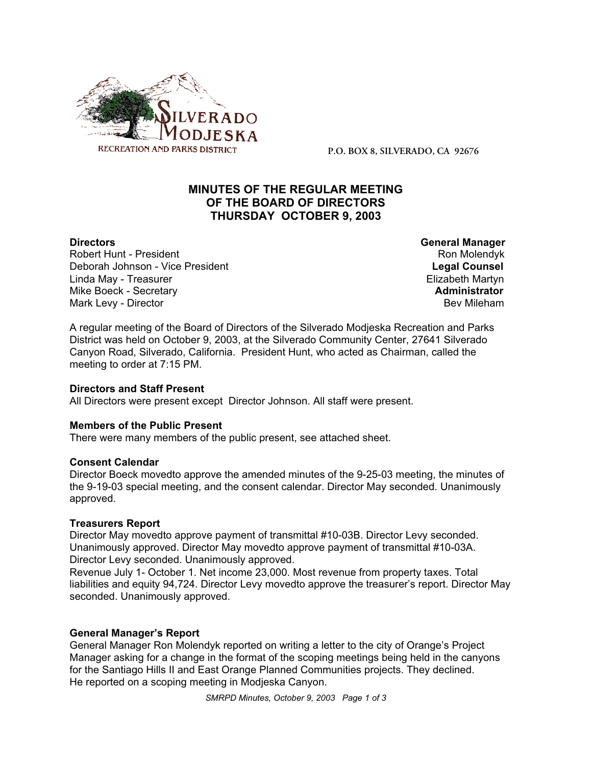

**P.O. BOX 8, SILVERADO, CA 92676**

# **MINUTES OF THE REGULAR MEETING OF THE BOARD OF DIRECTORS THURSDAY OCTOBER 9, 2003**

Robert Hunt - President North Robert Hunt - President North Ron Molendyk Deborah Johnson - Vice President **Legal Counsel** Linda May - Treasurer **Elizabeth Martyn** Mike Boeck - Secretary **Administrator Administrator** Mark Levy - Director **Bev Mileham Mark Levy - Director** Bev Mileham

**Directors General Manager**

A regular meeting of the Board of Directors of the Silverado Modjeska Recreation and Parks District was held on October 9, 2003, at the Silverado Community Center, 27641 Silverado Canyon Road, Silverado, California. President Hunt, who acted as Chairman, called the meeting to order at 7:15 PM.

#### **Directors and Staff Present**

All Directors were present except Director Johnson. All staff were present.

#### **Members of the Public Present**

There were many members of the public present, see attached sheet.

#### **Consent Calendar**

Director Boeck movedto approve the amended minutes of the 9-25-03 meeting, the minutes of the 9-19-03 special meeting, and the consent calendar. Director May seconded. Unanimously approved.

#### **Treasurers Report**

Director May movedto approve payment of transmittal #10-03B. Director Levy seconded. Unanimously approved. Director May movedto approve payment of transmittal #10-03A. Director Levy seconded. Unanimously approved.

Revenue July 1- October 1. Net income 23,000. Most revenue from property taxes. Total liabilities and equity 94,724. Director Levy movedto approve the treasurer's report. Director May seconded. Unanimously approved.

#### **General Manager's Report**

General Manager Ron Molendyk reported on writing a letter to the city of Orange's Project Manager asking for a change in the format of the scoping meetings being held in the canyons for the Santiago Hills II and East Orange Planned Communities projects. They declined. He reported on a scoping meeting in Modjeska Canyon.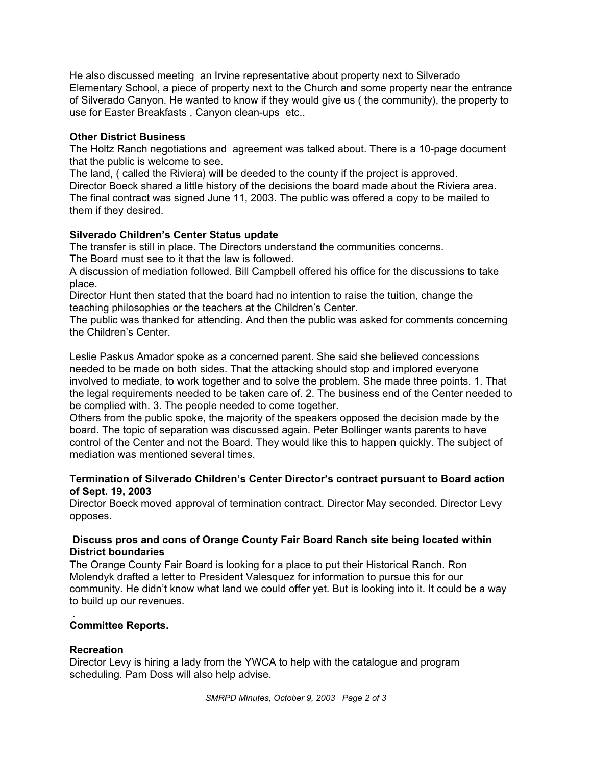He also discussed meeting an Irvine representative about property next to Silverado Elementary School, a piece of property next to the Church and some property near the entrance of Silverado Canyon. He wanted to know if they would give us ( the community), the property to use for Easter Breakfasts , Canyon clean-ups etc..

## **Other District Business**

The Holtz Ranch negotiations and agreement was talked about. There is a 10-page document that the public is welcome to see.

The land, ( called the Riviera) will be deeded to the county if the project is approved. Director Boeck shared a little history of the decisions the board made about the Riviera area. The final contract was signed June 11, 2003. The public was offered a copy to be mailed to them if they desired.

## **Silverado Children's Center Status update**

The transfer is still in place. The Directors understand the communities concerns.

The Board must see to it that the law is followed.

A discussion of mediation followed. Bill Campbell offered his office for the discussions to take place.

Director Hunt then stated that the board had no intention to raise the tuition, change the teaching philosophies or the teachers at the Children's Center.

The public was thanked for attending. And then the public was asked for comments concerning the Children's Center.

Leslie Paskus Amador spoke as a concerned parent. She said she believed concessions needed to be made on both sides. That the attacking should stop and implored everyone involved to mediate, to work together and to solve the problem. She made three points. 1. That the legal requirements needed to be taken care of. 2. The business end of the Center needed to be complied with. 3. The people needed to come together.

Others from the public spoke, the majority of the speakers opposed the decision made by the board. The topic of separation was discussed again. Peter Bollinger wants parents to have control of the Center and not the Board. They would like this to happen quickly. The subject of mediation was mentioned several times.

## **Termination of Silverado Children's Center Director's contract pursuant to Board action of Sept. 19, 2003**

Director Boeck moved approval of termination contract. Director May seconded. Director Levy opposes.

## **Discuss pros and cons of Orange County Fair Board Ranch site being located within District boundaries**

The Orange County Fair Board is looking for a place to put their Historical Ranch. Ron Molendyk drafted a letter to President Valesquez for information to pursue this for our community. He didn't know what land we could offer yet. But is looking into it. It could be a way to build up our revenues.

#### . **Committee Reports.**

## **Recreation**

Director Levy is hiring a lady from the YWCA to help with the catalogue and program scheduling. Pam Doss will also help advise.